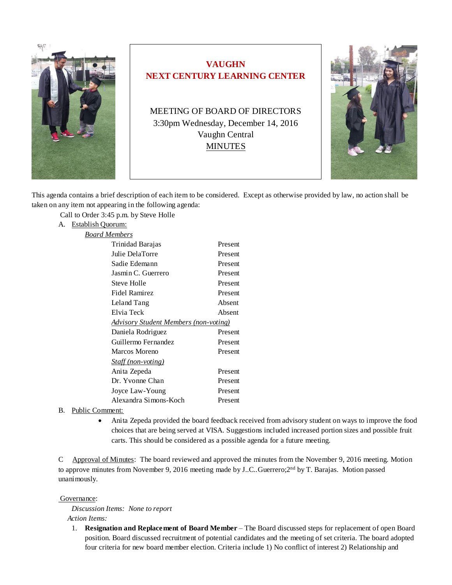

# **VAUGHN NEXT CENTURY LEARNING CENTER**

MEETING OF BOARD OF DIRECTORS 3:30pm Wednesday, December 14, 2016 Vaughn Central MINUTES



This agenda contains a brief description of each item to be considered. Except as otherwise provided by law, no action shall be taken on any item not appearing in the following agenda:

Call to Order 3:45 p.m. by Steve Holle

# A. Establish Quorum:

| <b>Board Members</b>                         |         |
|----------------------------------------------|---------|
| Trinidad Barajas                             | Present |
| Julie DelaTorre                              | Present |
| Sadie Edemann                                | Present |
| Jasmin C. Guerrero                           | Present |
| Steve Holle                                  | Present |
| Fidel Ramirez                                | Present |
| Leland Tang                                  | Absent  |
| Elvia Teck                                   | Absent  |
| <b>Advisory Student Members (non-voting)</b> |         |
| Daniela Rodriguez                            | Present |
| Guillermo Fernandez                          | Present |
| Marcos Moreno                                | Present |
| <i>Staff (non-voting)</i>                    |         |
| Anita Zepeda                                 | Present |
| Dr. Yvonne Chan                              | Present |
| Joyce Law-Young                              | Present |
| Alexandra Simons-Koch                        | Present |

## B. Public Comment:

• Anita Zepeda provided the board feedback received from advisory student on ways to improve the food choices that are being served at VISA. Suggestions included increased portion sizes and possible fruit carts. This should be considered as a possible agenda for a future meeting.

C Approval of Minutes: The board reviewed and approved the minutes from the November 9, 2016 meeting. Motion to approve minutes from November 9, 2016 meeting made by J..C..Guerrero; $2<sup>nd</sup>$  by T. Barajas. Motion passed unanimously.

#### Governance:

*Discussion Items: None to report Action Items:*

1. **Resignation and Replacement of Board Member** – The Board discussed steps for replacement of open Board position. Board discussed recruitment of potential candidates and the meeting of set criteria. The board adopted four criteria for new board member election. Criteria include 1) No conflict of interest 2) Relationship and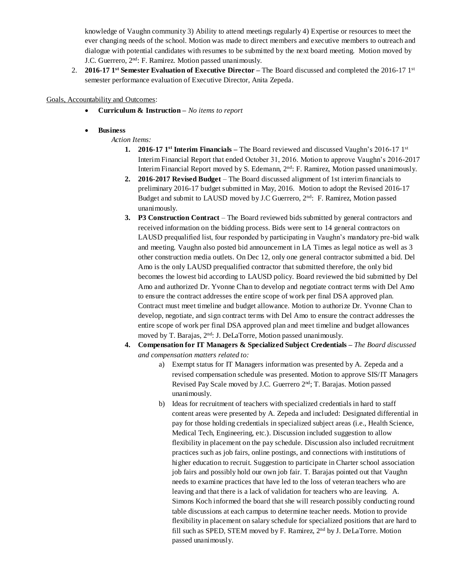knowledge of Vaughn community 3) Ability to attend meetings regularly 4) Expertise or resources to meet the ever changing needs of the school. Motion was made to direct members and executive members to outreach and dialogue with potential candidates with resumes to be submitted by the next board meeting. Motion moved by J.C. Guerrero, 2nd: F. Ramirez. Motion passed unanimously.

2. **2016-17 1st Semester Evaluation of Executive Director –** The Board discussed and completed the 2016-17 1st semester performance evaluation of Executive Director, Anita Zepeda.

Goals, Accountability and Outcomes:

- **Curriculum & Instruction –** *No items to report*
- **Business**

*Action Items:*

- **1. 2016-17 1st Interim Financials –** The Board reviewed and discussed Vaughn's 2016-17 1st Interim Financial Report that ended October 31, 2016. Motion to approve Vaughn's 2016-2017 Interim Financial Report moved by S. Edemann, 2nd: F. Ramirez, Motion passed unanimously.
- **2. 2016-2017 Revised Budget** The Board discussed alignment of 1st interim financials to preliminary 2016-17 budget submitted in May, 2016. Motion to adopt the Revised 2016-17 Budget and submit to LAUSD moved by J.C Guerrero, 2nd: F. Ramirez, Motion passed unanimously.
- **3. P3 Construction Contract** The Board reviewed bids submitted by general contractors and received information on the bidding process. Bids were sent to 14 general contractors on LAUSD prequalified list, four responded by participating in Vaughn's mandatory pre-bid walk and meeting. Vaughn also posted bid announcement in LA Times as legal notice as well as 3 other construction media outlets. On Dec 12, only one general contractor submitted a bid. Del Amo is the only LAUSD prequalified contractor that submitted therefore, the only bid becomes the lowest bid according to LAUSD policy. Board reviewed the bid submitted by Del Amo and authorized Dr. Yvonne Chan to develop and negotiate contract terms with Del Amo to ensure the contract addresses the entire scope of work per final DSA approved plan. Contract must meet timeline and budget allowance. Motion to authorize Dr. Yvonne Chan to develop, negotiate, and sign contract terms with Del Amo to ensure the contract addresses the entire scope of work per final DSA approved plan and meet timeline and budget allowances moved by T. Barajas, 2<sup>nd</sup>: J. DeLaTorre, Motion passed unanimously.
- **4. Compensation for IT Managers & Specialized Subject Credentials –** *The Board discussed and compensation matters related to:*
	- a) Exempt status for IT Managers information was presented by A. Zepeda and a revised compensation schedule was presented. Motion to approve SIS/IT Managers Revised Pay Scale moved by J.C. Guerrero 2nd; T. Barajas. Motion passed unanimously.
	- b) Ideas for recruitment of teachers with specialized credentials in hard to staff content areas were presented by A. Zepeda and included: Designated differential in pay for those holding credentials in specialized subject areas (i.e., Health Science, Medical Tech, Engineering, etc.). Discussion included suggestion to allow flexibility in placement on the pay schedule. Discussion also included recruitment practices such as job fairs, online postings, and connections with institutions of higher education to recruit. Suggestion to participate in Charter school association job fairs and possibly hold our own job fair. T. Barajas pointed out that Vaughn needs to examine practices that have led to the loss of veteran teachers who are leaving and that there is a lack of validation for teachers who are leaving. A. Simons Koch informed the board that she will research possibly conducting round table discussions at each campus to determine teacher needs. Motion to provide flexibility in placement on salary schedule for specialized positions that are hard to fill such as SPED, STEM moved by F. Ramirez, 2<sup>nd</sup> by J. DeLaTorre. Motion passed unanimously.